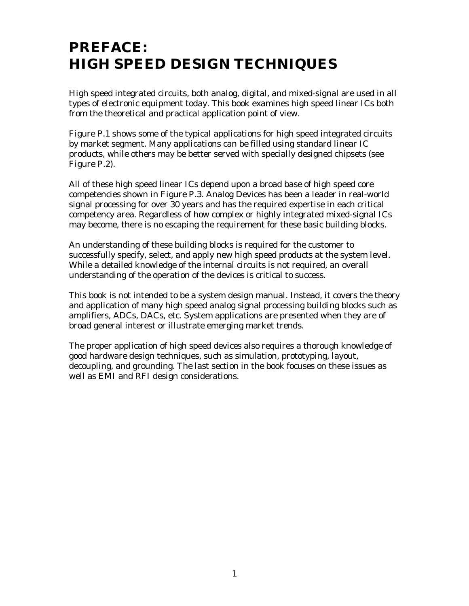## **PREFACE: HIGH SPEED DESIGN TECHNIQUES**

High speed integrated circuits, both analog, digital, and mixed-signal are used in all types of electronic equipment today. This book examines high speed *linear* ICs both from the theoretical and practical application point of view.

Figure P.1 shows some of the typical applications for high speed integrated circuits by market segment. Many applications can be filled using standard linear IC products, while others may be better served with specially designed chipsets (see Figure P.2).

All of these high speed linear ICs depend upon a broad base of high speed core competencies shown in Figure P.3. Analog Devices has been a leader in real-world signal processing for over 30 years and has the required expertise in each critical competency area. Regardless of how complex or highly integrated mixed-signal ICs may become, there is no escaping the requirement for these basic building blocks.

An understanding of these building blocks is required for the customer to successfully specify, select, and apply new high speed products at the system level. While a detailed knowledge of the internal circuits is not required, an overall understanding of the operation of the devices is critical to success.

This book is not intended to be a system design manual. Instead, it covers the theory and application of many high speed analog signal processing building blocks such as amplifiers, ADCs, DACs, etc. System applications are presented when they are of broad general interest or illustrate emerging market trends.

The proper application of high speed devices also requires a thorough knowledge of good hardware design techniques, such as simulation, prototyping, layout, decoupling, and grounding. The last section in the book focuses on these issues as well as EMI and RFI design considerations.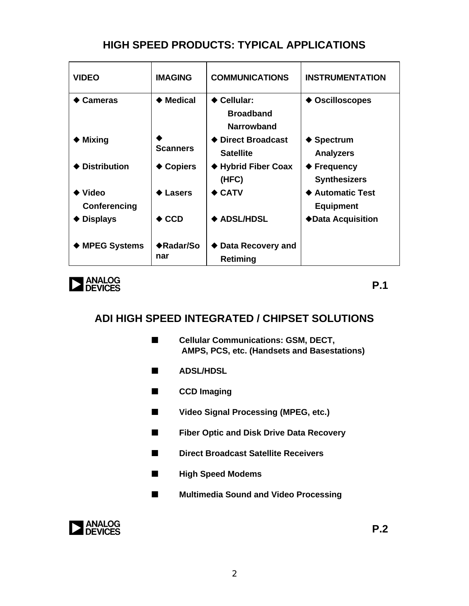## **HIGH SPEED PRODUCTS: TYPICAL APPLICATIONS**

| <b>VIDEO</b>                          | <b>IMAGING</b>   | <b>COMMUNICATIONS</b>                         | <b>INSTRUMENTATION</b>                    |
|---------------------------------------|------------------|-----------------------------------------------|-------------------------------------------|
| <b>Cameras</b>                        | <b>Medical</b>   | ◆ Cellular:<br><b>Broadband</b><br>Narrowband | <b>Oscilloscopes</b>                      |
| <b>Mixing</b>                         | <b>Scanners</b>  | <b>Direct Broadcast</b><br><b>Satellite</b>   | <b>Spectrum</b><br><b>Analyzers</b>       |
| <b>Distribution</b>                   | <b>Copiers</b>   | ◆ Hybrid Fiber Coax<br>(HFC)                  | <b>Frequency</b><br><b>Synthesizers</b>   |
| $\blacklozenge$ Video<br>Conferencing | Lasers           | $\bullet$ CATV                                | <b>Automatic Test</b><br><b>Equipment</b> |
| $\blacklozenge$ Displays              | $\bullet$ CCD    | <b>ADSL/HDSL</b>                              | ◆Data Acquisition                         |
| ◆ MPEG Systems                        | ◆Radar/So<br>nar | Data Recovery and<br>Retiming                 |                                           |



**P.1**

## **ADI HIGH SPEED INTEGRATED / CHIPSET SOLUTIONS**

- Cellular Communications: GSM, DECT,  **AMPS, PCS, etc. (Handsets and Basestations)**
- n **ADSL/HDSL**
- **n** CCD Imaging
- Video Signal Processing (MPEG, etc.)
- $\blacksquare$  Fiber Optic and Disk Drive Data Recovery
- Direct Broadcast Satellite Receivers
- $\blacksquare$  High Speed Modems
- $\blacksquare$  Multimedia Sound and Video Processing